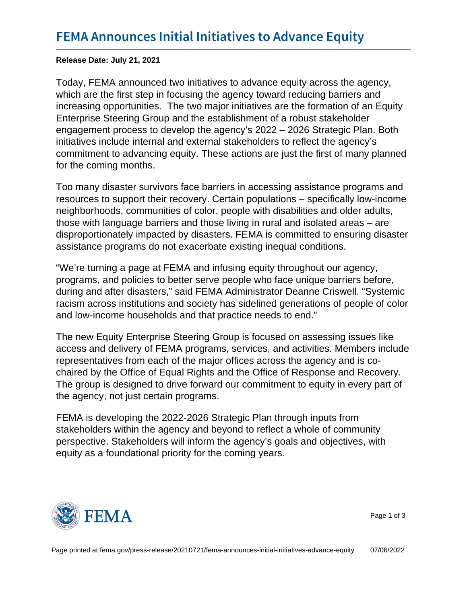Release Date: July 21, 2021

Today, FEMA announced two initiatives to advance equity across the agency, which are the first step in focusing the agency toward reducing barriers and increasing opportunities. The two major initiatives are the formation of an Equity Enterprise Steering Group and the establishment of a robust stakeholder engagement process to develop the agency's 2022 – 2026 Strategic Plan. Both initiatives include internal and external stakeholders to reflect the agency's commitment to advancing equity. These actions are just the first of many planned for the coming months.

Too many disaster survivors face barriers in accessing assistance programs and resources to support their recovery. Certain populations – specifically low-income neighborhoods, communities of color, people with disabilities and older adults, those with language barriers and those living in rural and isolated areas – are disproportionately impacted by disasters. FEMA is committed to ensuring disaster assistance programs do not exacerbate existing inequal conditions.

"We're turning a page at FEMA and infusing equity throughout our agency, programs, and policies to better serve people who face unique barriers before, during and after disasters," said FEMA Administrator Deanne Criswell. "Systemic racism across institutions and society has sidelined generations of people of color and low-income households and that practice needs to end."

The new Equity Enterprise Steering Group is focused on assessing issues like access and delivery of FEMA programs, services, and activities. Members include representatives from each of the major offices across the agency and is cochaired by the Office of Equal Rights and the Office of Response and Recovery. The group is designed to drive forward our commitment to equity in every part of the agency, not just certain programs.

FEMA is developing the 2022-2026 Strategic Plan through inputs from stakeholders within the agency and beyond to reflect a whole of community perspective. Stakeholders will inform the agency's goals and objectives, with equity as a foundational priority for the coming years.



Page 1 of 3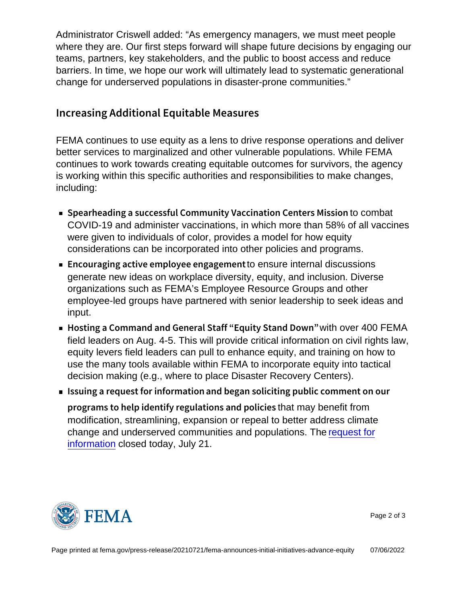Administrator Criswell added: "As emergency managers, we must meet people where they are. Our first steps forward will shape future decisions by engaging our teams, partners, key stakeholders, and the public to boost access and reduce barriers. In time, we hope our work will ultimately lead to systematic generational change for underserved populations in disaster-prone communities."

## Increasing Additional Equitable Measures

FEMA continues to use equity as a lens to drive response operations and deliver better services to marginalized and other vulnerable populations. While FEMA continues to work towards creating equitable outcomes for survivors, the agency is working within this specific authorities and responsibilities to make changes, including:

- **Spearheading a successful Community Vaccommbattion Centers** COVID-19 and administer vaccinations, in which more than 58% of all vaccines were given to individuals of color, provides a model for how equity considerations can be incorporated into other policies and programs.
- $\blacksquare$  Encouraging active emplotoe ensureningtengaeldiscurstions generate new ideas on workplace diversity, equity, and inclusion. Diverse organizations such as FEMA's Employee Resource Groups and other employee-led groups have partnered with senior leadership to seek ideas and input.
- Hosting a Command and General Stawfitho **Eeq400 FEM**Aand Down field leaders on Aug. 4-5. This will provide critical information on civil rights law, equity levers field leaders can pull to enhance equity, and training on how to use the many tools available within FEMA to incorporate equity into tactical decision making (e.g., where to place Disaster Recovery Centers).
- Issuing a request foand fbegan is pliciting public comment programs to help identify reguthattmay benefit from olicies modification, streamlining, expansion or repeal to better address climate change and underserved communities and populations. The [request for](https://www.fema.gov/event/public-comment-period-climate-change-and-underserved-populations) [information](https://www.fema.gov/event/public-comment-period-climate-change-and-underserved-populations) closed today, July 21.



Page 2 of 3